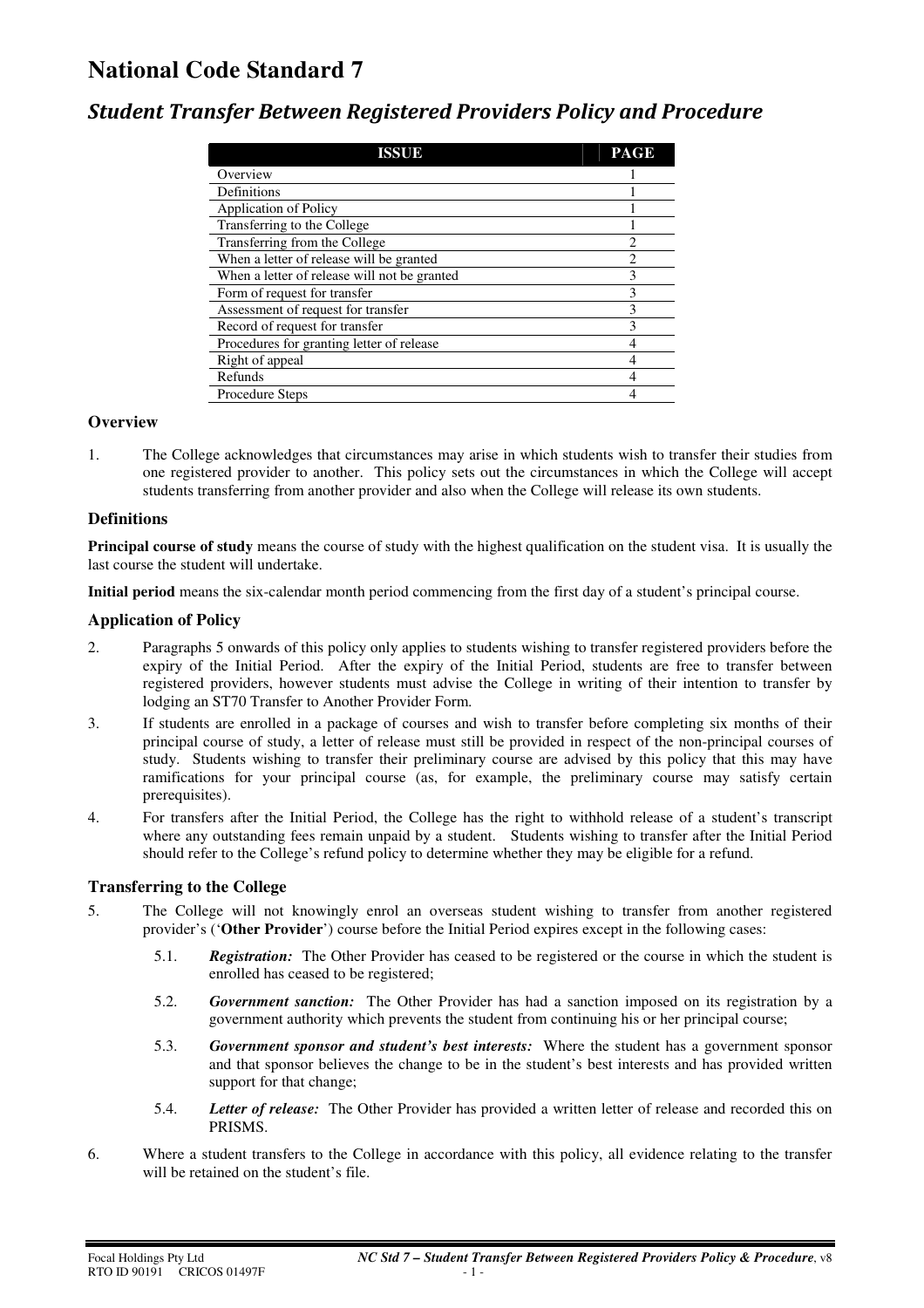# **National Code Standard 7**

### *Student Transfer Between Registered Providers Policy and Procedure*

| ISSUE                                        | <b>PAGE</b> |
|----------------------------------------------|-------------|
| Overview                                     |             |
| Definitions                                  |             |
| <b>Application of Policy</b>                 |             |
| Transferring to the College                  |             |
| Transferring from the College                |             |
| When a letter of release will be granted     |             |
| When a letter of release will not be granted | 3           |
| Form of request for transfer                 |             |
| Assessment of request for transfer           |             |
| Record of request for transfer               | 3           |
| Procedures for granting letter of release    |             |
| Right of appeal                              |             |
| Refunds                                      |             |
| Procedure Steps                              |             |

#### **Overview**

1. The College acknowledges that circumstances may arise in which students wish to transfer their studies from one registered provider to another. This policy sets out the circumstances in which the College will accept students transferring from another provider and also when the College will release its own students.

#### **Definitions**

**Principal course of study** means the course of study with the highest qualification on the student visa. It is usually the last course the student will undertake.

**Initial period** means the six-calendar month period commencing from the first day of a student's principal course.

#### **Application of Policy**

- 2. Paragraphs 5 onwards of this policy only applies to students wishing to transfer registered providers before the expiry of the Initial Period. After the expiry of the Initial Period, students are free to transfer between registered providers, however students must advise the College in writing of their intention to transfer by lodging an ST70 Transfer to Another Provider Form.
- 3. If students are enrolled in a package of courses and wish to transfer before completing six months of their principal course of study, a letter of release must still be provided in respect of the non-principal courses of study. Students wishing to transfer their preliminary course are advised by this policy that this may have ramifications for your principal course (as, for example, the preliminary course may satisfy certain prerequisites).
- 4. For transfers after the Initial Period, the College has the right to withhold release of a student's transcript where any outstanding fees remain unpaid by a student. Students wishing to transfer after the Initial Period should refer to the College's refund policy to determine whether they may be eligible for a refund.

#### **Transferring to the College**

- 5. The College will not knowingly enrol an overseas student wishing to transfer from another registered provider's ('**Other Provider**') course before the Initial Period expires except in the following cases:
	- 5.1. *Registration:* The Other Provider has ceased to be registered or the course in which the student is enrolled has ceased to be registered;
	- 5.2. *Government sanction:* The Other Provider has had a sanction imposed on its registration by a government authority which prevents the student from continuing his or her principal course;
	- 5.3. *Government sponsor and student's best interests:* Where the student has a government sponsor and that sponsor believes the change to be in the student's best interests and has provided written support for that change:
	- 5.4. *Letter of release:* The Other Provider has provided a written letter of release and recorded this on PRISMS.
- 6. Where a student transfers to the College in accordance with this policy, all evidence relating to the transfer will be retained on the student's file.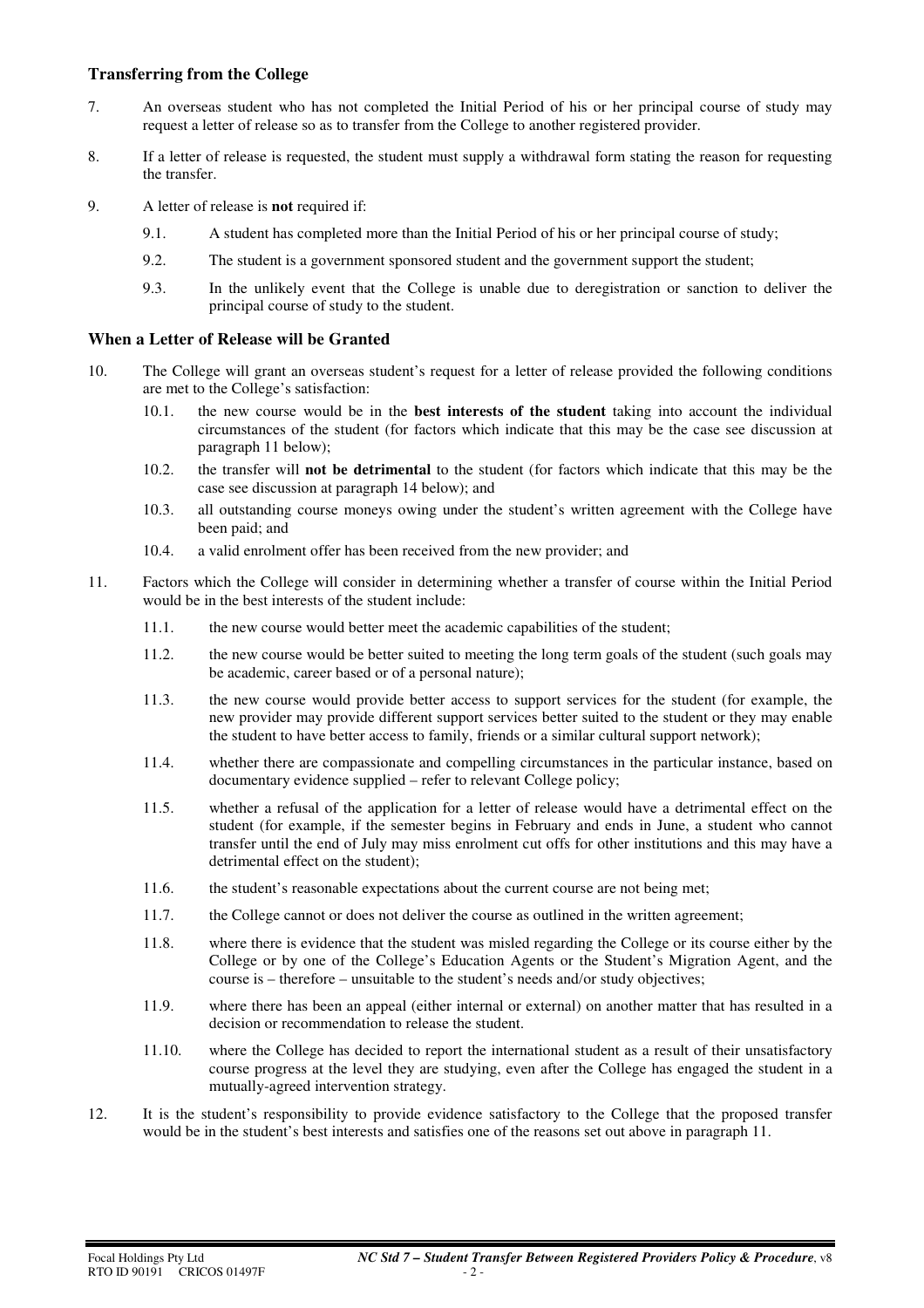#### **Transferring from the College**

- 7. An overseas student who has not completed the Initial Period of his or her principal course of study may request a letter of release so as to transfer from the College to another registered provider.
- 8. If a letter of release is requested, the student must supply a withdrawal form stating the reason for requesting the transfer.
- 9. A letter of release is **not** required if:
	- 9.1. A student has completed more than the Initial Period of his or her principal course of study;
	- 9.2. The student is a government sponsored student and the government support the student;
	- 9.3. In the unlikely event that the College is unable due to deregistration or sanction to deliver the principal course of study to the student.

#### **When a Letter of Release will be Granted**

- 10. The College will grant an overseas student's request for a letter of release provided the following conditions are met to the College's satisfaction:
	- 10.1. the new course would be in the **best interests of the student** taking into account the individual circumstances of the student (for factors which indicate that this may be the case see discussion at paragraph 11 below);
	- 10.2. the transfer will **not be detrimental** to the student (for factors which indicate that this may be the case see discussion at paragraph 14 below); and
	- 10.3. all outstanding course moneys owing under the student's written agreement with the College have been paid; and
	- 10.4. a valid enrolment offer has been received from the new provider; and
- 11. Factors which the College will consider in determining whether a transfer of course within the Initial Period would be in the best interests of the student include:
	- 11.1. the new course would better meet the academic capabilities of the student;
	- 11.2. the new course would be better suited to meeting the long term goals of the student (such goals may be academic, career based or of a personal nature);
	- 11.3. the new course would provide better access to support services for the student (for example, the new provider may provide different support services better suited to the student or they may enable the student to have better access to family, friends or a similar cultural support network);
	- 11.4. whether there are compassionate and compelling circumstances in the particular instance, based on documentary evidence supplied – refer to relevant College policy;
	- 11.5. whether a refusal of the application for a letter of release would have a detrimental effect on the student (for example, if the semester begins in February and ends in June, a student who cannot transfer until the end of July may miss enrolment cut offs for other institutions and this may have a detrimental effect on the student);
	- 11.6. the student's reasonable expectations about the current course are not being met;
	- 11.7. the College cannot or does not deliver the course as outlined in the written agreement;
	- 11.8. where there is evidence that the student was misled regarding the College or its course either by the College or by one of the College's Education Agents or the Student's Migration Agent, and the course is – therefore – unsuitable to the student's needs and/or study objectives;
	- 11.9. where there has been an appeal (either internal or external) on another matter that has resulted in a decision or recommendation to release the student.
	- 11.10. where the College has decided to report the international student as a result of their unsatisfactory course progress at the level they are studying, even after the College has engaged the student in a mutually-agreed intervention strategy.
- 12. It is the student's responsibility to provide evidence satisfactory to the College that the proposed transfer would be in the student's best interests and satisfies one of the reasons set out above in paragraph 11.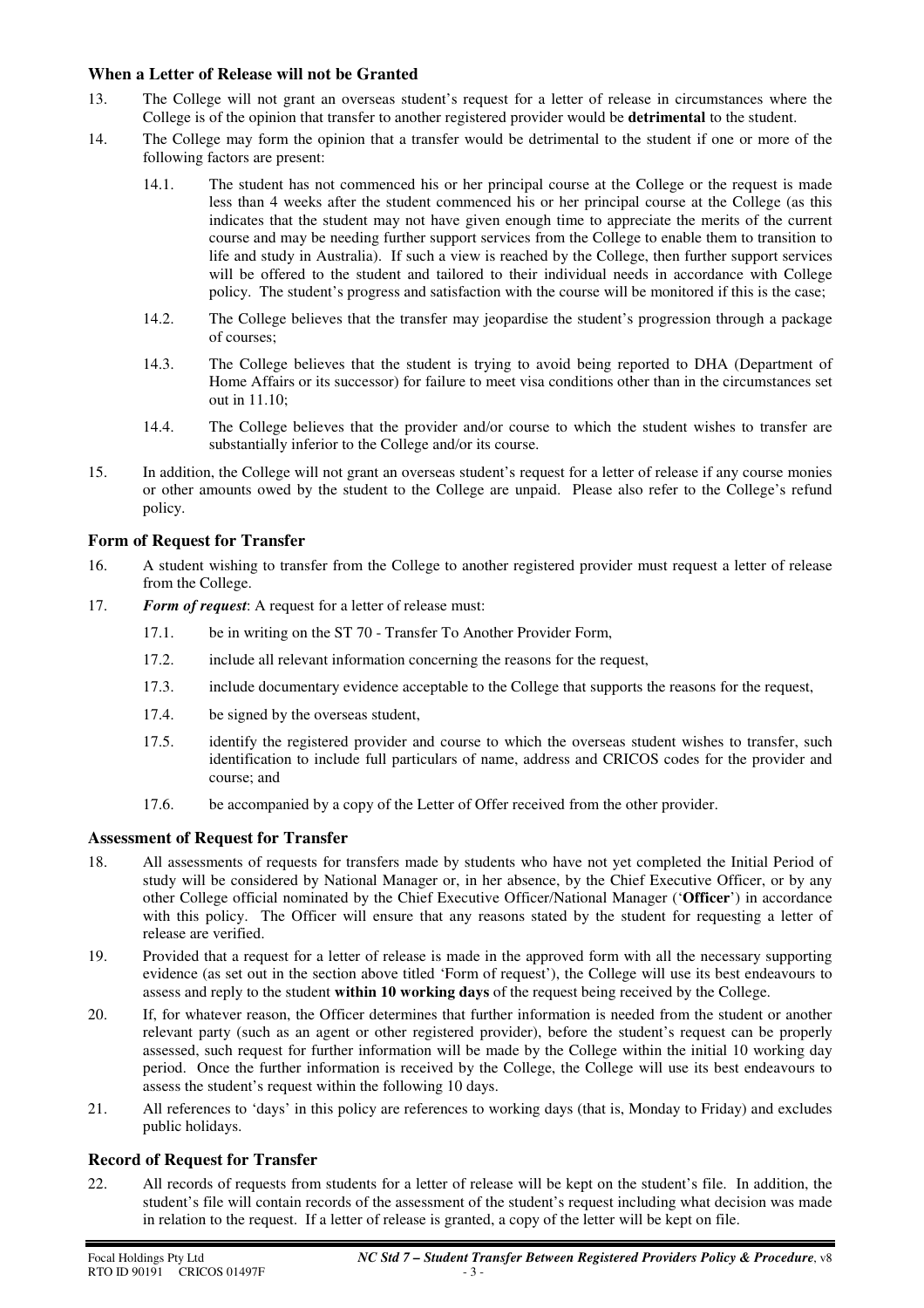#### **When a Letter of Release will not be Granted**

- 13. The College will not grant an overseas student's request for a letter of release in circumstances where the College is of the opinion that transfer to another registered provider would be **detrimental** to the student.
- 14. The College may form the opinion that a transfer would be detrimental to the student if one or more of the following factors are present:
	- 14.1. The student has not commenced his or her principal course at the College or the request is made less than 4 weeks after the student commenced his or her principal course at the College (as this indicates that the student may not have given enough time to appreciate the merits of the current course and may be needing further support services from the College to enable them to transition to life and study in Australia). If such a view is reached by the College, then further support services will be offered to the student and tailored to their individual needs in accordance with College policy. The student's progress and satisfaction with the course will be monitored if this is the case;
	- 14.2. The College believes that the transfer may jeopardise the student's progression through a package of courses;
	- 14.3. The College believes that the student is trying to avoid being reported to DHA (Department of Home Affairs or its successor) for failure to meet visa conditions other than in the circumstances set out in 11.10;
	- 14.4. The College believes that the provider and/or course to which the student wishes to transfer are substantially inferior to the College and/or its course.
- 15. In addition, the College will not grant an overseas student's request for a letter of release if any course monies or other amounts owed by the student to the College are unpaid. Please also refer to the College's refund policy.

### **Form of Request for Transfer**

- 16. A student wishing to transfer from the College to another registered provider must request a letter of release from the College.
- 17. *Form of request*: A request for a letter of release must:
	- 17.1. be in writing on the ST 70 Transfer To Another Provider Form,
	- 17.2. include all relevant information concerning the reasons for the request,
	- 17.3. include documentary evidence acceptable to the College that supports the reasons for the request,
	- 17.4. be signed by the overseas student,
	- 17.5. identify the registered provider and course to which the overseas student wishes to transfer, such identification to include full particulars of name, address and CRICOS codes for the provider and course; and
	- 17.6. be accompanied by a copy of the Letter of Offer received from the other provider.

#### **Assessment of Request for Transfer**

- 18. All assessments of requests for transfers made by students who have not yet completed the Initial Period of study will be considered by National Manager or, in her absence, by the Chief Executive Officer, or by any other College official nominated by the Chief Executive Officer/National Manager ('**Officer**') in accordance with this policy. The Officer will ensure that any reasons stated by the student for requesting a letter of release are verified.
- 19. Provided that a request for a letter of release is made in the approved form with all the necessary supporting evidence (as set out in the section above titled 'Form of request'), the College will use its best endeavours to assess and reply to the student **within 10 working days** of the request being received by the College.
- 20. If, for whatever reason, the Officer determines that further information is needed from the student or another relevant party (such as an agent or other registered provider), before the student's request can be properly assessed, such request for further information will be made by the College within the initial 10 working day period. Once the further information is received by the College, the College will use its best endeavours to assess the student's request within the following 10 days.
- 21. All references to 'days' in this policy are references to working days (that is, Monday to Friday) and excludes public holidays.

#### **Record of Request for Transfer**

22. All records of requests from students for a letter of release will be kept on the student's file. In addition, the student's file will contain records of the assessment of the student's request including what decision was made in relation to the request. If a letter of release is granted, a copy of the letter will be kept on file.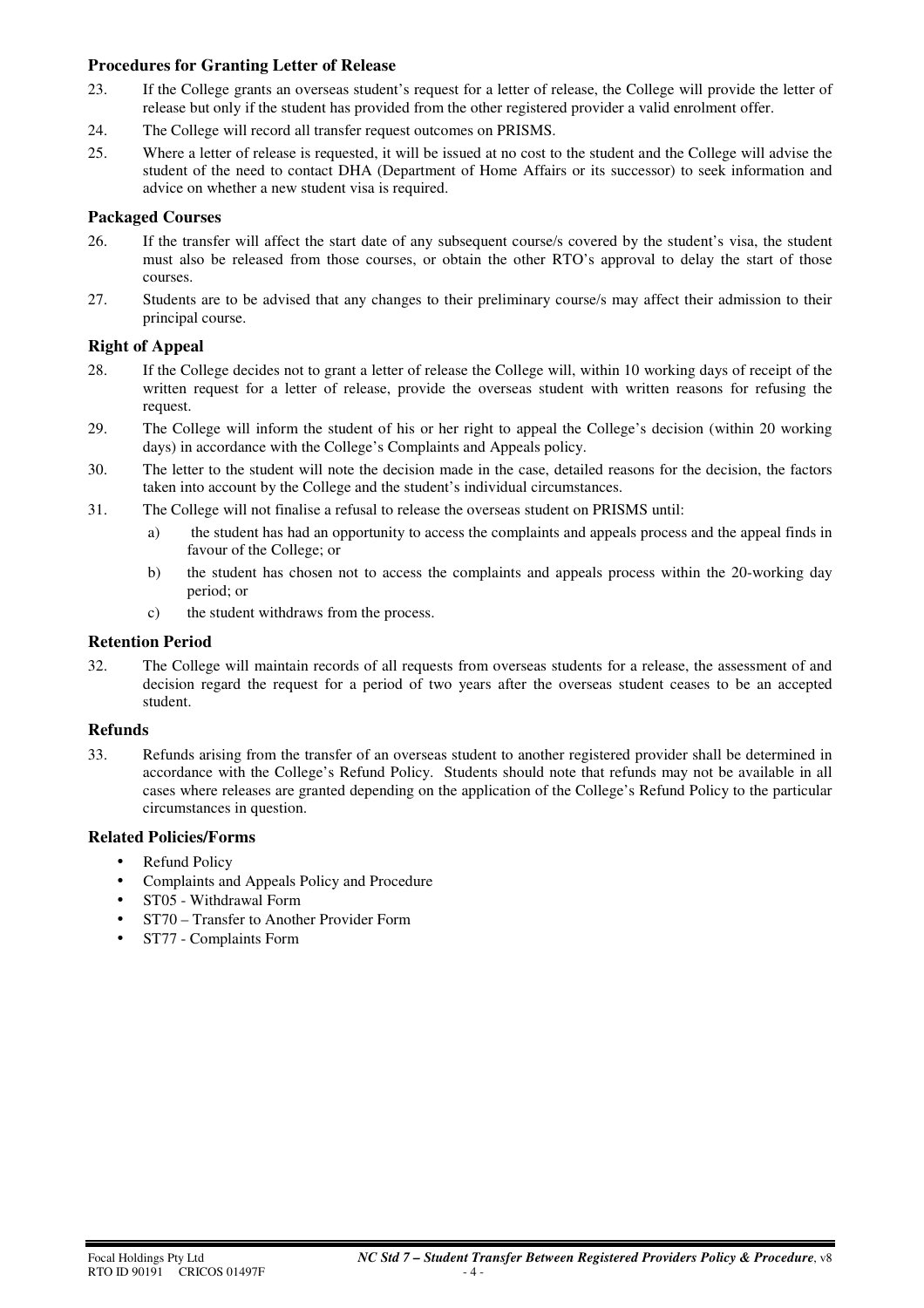#### **Procedures for Granting Letter of Release**

- 23. If the College grants an overseas student's request for a letter of release, the College will provide the letter of release but only if the student has provided from the other registered provider a valid enrolment offer.
- 24. The College will record all transfer request outcomes on PRISMS.
- 25. Where a letter of release is requested, it will be issued at no cost to the student and the College will advise the student of the need to contact DHA (Department of Home Affairs or its successor) to seek information and advice on whether a new student visa is required.

#### **Packaged Courses**

- 26. If the transfer will affect the start date of any subsequent course/s covered by the student's visa, the student must also be released from those courses, or obtain the other RTO's approval to delay the start of those courses.
- 27. Students are to be advised that any changes to their preliminary course/s may affect their admission to their principal course.

#### **Right of Appeal**

- 28. If the College decides not to grant a letter of release the College will, within 10 working days of receipt of the written request for a letter of release, provide the overseas student with written reasons for refusing the request.
- 29. The College will inform the student of his or her right to appeal the College's decision (within 20 working days) in accordance with the College's Complaints and Appeals policy.
- 30. The letter to the student will note the decision made in the case, detailed reasons for the decision, the factors taken into account by the College and the student's individual circumstances.
- 31. The College will not finalise a refusal to release the overseas student on PRISMS until:
	- a) the student has had an opportunity to access the complaints and appeals process and the appeal finds in favour of the College; or
	- b) the student has chosen not to access the complaints and appeals process within the 20-working day period; or
	- c) the student withdraws from the process.

#### **Retention Period**

32. The College will maintain records of all requests from overseas students for a release, the assessment of and decision regard the request for a period of two years after the overseas student ceases to be an accepted student.

#### **Refunds**

33. Refunds arising from the transfer of an overseas student to another registered provider shall be determined in accordance with the College's Refund Policy. Students should note that refunds may not be available in all cases where releases are granted depending on the application of the College's Refund Policy to the particular circumstances in question.

#### **Related Policies/Forms**

- Refund Policy
- Complaints and Appeals Policy and Procedure
- ST05 Withdrawal Form
- ST70 Transfer to Another Provider Form
- ST77 Complaints Form